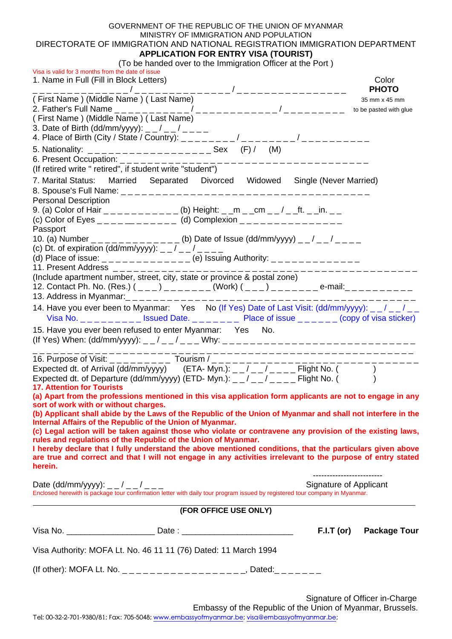## GOVERNMENT OF THE REPUBLIC OF THE UNION OF MYANMAR MINISTRY OF IMMIGRATION AND POPULATION DIRECTORATE OF IMMIGRATION AND NATIONAL REGISTRATION IMMIGRATION DEPARTMENT **APPLICATION FOR ENTRY VISA (TOURIST)**

| (To be handed over to the Immigration Officer at the Port) |  |  |  |
|------------------------------------------------------------|--|--|--|

| TO be harded over to the immigration Omeer at the Fort J<br>Visa is valid for 3 months from the date of issue<br>1. Name in Full (Fill in Block Letters)                                                                                                                                                                               | Color<br><b>PHOTO</b>  |  |  |  |  |  |
|----------------------------------------------------------------------------------------------------------------------------------------------------------------------------------------------------------------------------------------------------------------------------------------------------------------------------------------|------------------------|--|--|--|--|--|
| (First Name) (Middle Name) (Last Name)                                                                                                                                                                                                                                                                                                 | 35 mm x 45 mm          |  |  |  |  |  |
|                                                                                                                                                                                                                                                                                                                                        | to be pasted with glue |  |  |  |  |  |
| (First Name) (Middle Name) (Last Name)                                                                                                                                                                                                                                                                                                 |                        |  |  |  |  |  |
| 3. Date of Birth (dd/mm/yyyy): $-$ / $-$ / $-$ - $-$                                                                                                                                                                                                                                                                                   |                        |  |  |  |  |  |
| 4. Place of Birth (City / State / Country): ________/_____/______/______/________                                                                                                                                                                                                                                                      |                        |  |  |  |  |  |
|                                                                                                                                                                                                                                                                                                                                        |                        |  |  |  |  |  |
|                                                                                                                                                                                                                                                                                                                                        |                        |  |  |  |  |  |
| (If retired write " retired", if student write "student")                                                                                                                                                                                                                                                                              |                        |  |  |  |  |  |
| 7. Marital Status: Married Separated Divorced Widowed Single (Never Married)                                                                                                                                                                                                                                                           |                        |  |  |  |  |  |
| <b>Personal Description</b>                                                                                                                                                                                                                                                                                                            |                        |  |  |  |  |  |
| 9. (a) Color of Hair __________ (b) Height: _ _m _ _cm _ _/ _ _ft. _ _in. _ _                                                                                                                                                                                                                                                          |                        |  |  |  |  |  |
| (c) Color of Eyes _ _ _ _ _ _ _ _ _ _ (d) Complexion _ _ _ _ _ _ _ _ _ _ _ _ _ _                                                                                                                                                                                                                                                       |                        |  |  |  |  |  |
| Passport                                                                                                                                                                                                                                                                                                                               |                        |  |  |  |  |  |
| 10. (a) Number _____________ (b) Date of Issue (dd/mm/yyyy) __/__/____                                                                                                                                                                                                                                                                 |                        |  |  |  |  |  |
| (c) Dt. of expiration (dd/mm/yyyy): $-$ / $-$ / $  -$                                                                                                                                                                                                                                                                                  |                        |  |  |  |  |  |
| (d) Place of issue: ____________ (e) Issuing Authority: ______________                                                                                                                                                                                                                                                                 |                        |  |  |  |  |  |
| 11. Present Address $\frac{1}{2}$ - - - - - - - - - - - - - - - - -<br>______________                                                                                                                                                                                                                                                  |                        |  |  |  |  |  |
| (Include apartment number, street, city, state or province & postal zone)                                                                                                                                                                                                                                                              |                        |  |  |  |  |  |
| 12. Contact Ph. No. (Res.) (___) _______(Work) (___) _______ e-mail:________                                                                                                                                                                                                                                                           |                        |  |  |  |  |  |
|                                                                                                                                                                                                                                                                                                                                        |                        |  |  |  |  |  |
| 14. Have you ever been to Myanmar: Yes No (If Yes) Date of Last Visit: (dd/mm/yyyy): _ _ / _ _ / _ _<br>Visa No. $\angle$ $\angle$ $\angle$ $\angle$ $\angle$ $\angle$ = $\angle$ = $\angle$ = $\angle$ = $\angle$ = $\angle$ = $\angle$ Place of issue $\angle$ $\angle$ $\angle$ $\angle$ = $\angle$ $\angle$ (copy of visa sticker) |                        |  |  |  |  |  |
| 15. Have you ever been refused to enter Myanmar: Yes No.                                                                                                                                                                                                                                                                               |                        |  |  |  |  |  |
|                                                                                                                                                                                                                                                                                                                                        |                        |  |  |  |  |  |
|                                                                                                                                                                                                                                                                                                                                        |                        |  |  |  |  |  |
|                                                                                                                                                                                                                                                                                                                                        |                        |  |  |  |  |  |
|                                                                                                                                                                                                                                                                                                                                        |                        |  |  |  |  |  |
| Expected dt. of Departure (dd/mm/yyyy) (ETD-Myn.): $\angle$ / $\angle$ / $\angle$ / $\angle$ = $\angle$ Flight No. ()<br><b>17. Attention for Tourists</b>                                                                                                                                                                             |                        |  |  |  |  |  |
| (a) Apart from the professions mentioned in this visa application form applicants are not to engage in any                                                                                                                                                                                                                             |                        |  |  |  |  |  |
| sort of work with or without charges. The control of work with or without charges.                                                                                                                                                                                                                                                     |                        |  |  |  |  |  |
| (b) Applicant shall abide by the Laws of the Republic of the Union of Myanmar and shall not interfere in the                                                                                                                                                                                                                           |                        |  |  |  |  |  |
| Internal Affairs of the Republic of the Union of Myanmar.                                                                                                                                                                                                                                                                              |                        |  |  |  |  |  |
| (c) Legal action will be taken against those who violate or contravene any provision of the existing laws,                                                                                                                                                                                                                             |                        |  |  |  |  |  |
| rules and regulations of the Republic of the Union of Myanmar.<br>I hereby declare that I fully understand the above mentioned conditions, that the particulars given above                                                                                                                                                            |                        |  |  |  |  |  |
| are true and correct and that I will not engage in any activities irrelevant to the purpose of entry stated                                                                                                                                                                                                                            |                        |  |  |  |  |  |
| herein.                                                                                                                                                                                                                                                                                                                                |                        |  |  |  |  |  |
|                                                                                                                                                                                                                                                                                                                                        |                        |  |  |  |  |  |
| Signature of Applicant<br>Date (dd/mm/yyyy): _ _ / _ _ / _ _ _                                                                                                                                                                                                                                                                         |                        |  |  |  |  |  |
| Enclosed herewith is package tour confirmation letter with daily tour program issued by registered tour company in Myanmar.                                                                                                                                                                                                            |                        |  |  |  |  |  |
| (FOR OFFICE USE ONLY)                                                                                                                                                                                                                                                                                                                  |                        |  |  |  |  |  |
|                                                                                                                                                                                                                                                                                                                                        |                        |  |  |  |  |  |
| $F.I.T$ (or)                                                                                                                                                                                                                                                                                                                           | <b>Package Tour</b>    |  |  |  |  |  |
| Visa Authority: MOFA Lt. No. 46 11 11 (76) Dated: 11 March 1994                                                                                                                                                                                                                                                                        |                        |  |  |  |  |  |
|                                                                                                                                                                                                                                                                                                                                        |                        |  |  |  |  |  |
|                                                                                                                                                                                                                                                                                                                                        |                        |  |  |  |  |  |

Signature of Officer in-Charge Embassy of the Republic of the Union of Myanmar, Brussels.